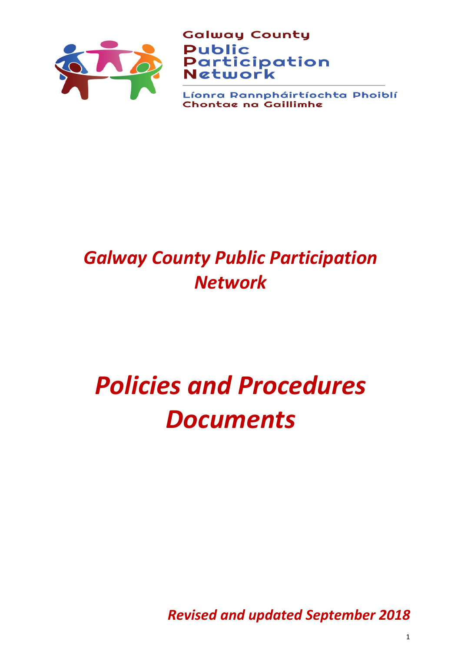

**Galway County Public** Participation<br>Network

íonra Rannpháirtíochta Phoiblí **Chontae na Gaillimhe** 

## *Galway County Public Participation Network*

# *Policies and Procedures Documents*

*Revised and updated September 2018*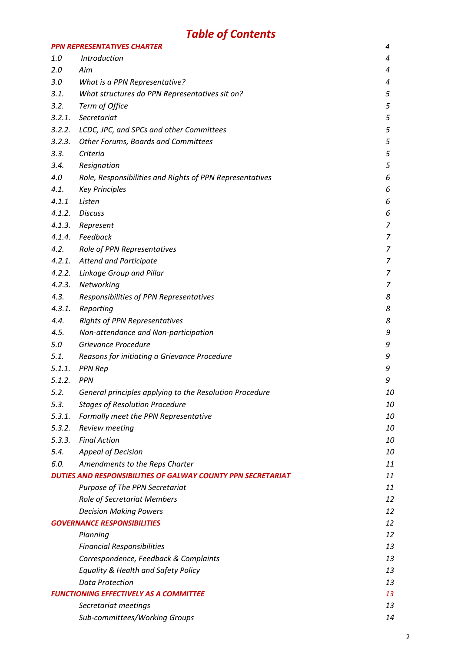## *Table of Contents*

|        | <b>PPN REPRESENTATIVES CHARTER</b>                           | 4              |
|--------|--------------------------------------------------------------|----------------|
| 1.0    | Introduction                                                 | 4              |
| 2.0    | Aim                                                          | 4              |
| 3.0    | What is a PPN Representative?                                | 4              |
| 3.1.   | What structures do PPN Representatives sit on?               | 5              |
| 3.2.   | Term of Office                                               | 5              |
| 3.2.1. | Secretariat                                                  | 5              |
| 3.2.2. | LCDC, JPC, and SPCs and other Committees                     | 5              |
| 3.2.3. | Other Forums, Boards and Committees                          | 5              |
| 3.3.   | Criteria                                                     | 5              |
| 3.4.   | Resignation                                                  | 5              |
| 4.0    | Role, Responsibilities and Rights of PPN Representatives     | 6              |
| 4.1.   | <b>Key Principles</b>                                        | 6              |
| 4.1.1  | Listen                                                       | 6              |
| 4.1.2. | Discuss                                                      | 6              |
| 4.1.3. | Represent                                                    | 7              |
| 4.1.4. | Feedback                                                     | $\overline{7}$ |
| 4.2.   | <b>Role of PPN Representatives</b>                           | $\overline{7}$ |
|        | 4.2.1. Attend and Participate                                | 7              |
| 4.2.2. | Linkage Group and Pillar                                     | 7              |
| 4.2.3. | Networking                                                   | 7              |
| 4.3.   | Responsibilities of PPN Representatives                      | 8              |
| 4.3.1. | Reporting                                                    | 8              |
| 4.4.   | <b>Rights of PPN Representatives</b>                         | 8              |
| 4.5.   | Non-attendance and Non-participation                         | 9              |
| 5.0    | Grievance Procedure                                          | 9              |
| 5.1.   | Reasons for initiating a Grievance Procedure                 | 9              |
| 5.1.1. | <b>PPN Rep</b>                                               | 9              |
| 5.1.2. | <b>PPN</b>                                                   | 9              |
| 5.2.   | General principles applying to the Resolution Procedure      | 10             |
| 5.3.   | <b>Stages of Resolution Procedure</b>                        | 10             |
| 5.3.1. | Formally meet the PPN Representative                         | 10             |
| 5.3.2. | Review meeting                                               | 10             |
| 5.3.3. | <b>Final Action</b>                                          | 10             |
| 5.4.   | <b>Appeal of Decision</b>                                    | 10             |
| 6.0.   | Amendments to the Reps Charter                               | 11             |
|        | DUTIES AND RESPONSIBILITIES OF GALWAY COUNTY PPN SECRETARIAT | 11             |
|        | Purpose of The PPN Secretariat                               | 11             |
|        | Role of Secretariat Members                                  | 12             |
|        | <b>Decision Making Powers</b>                                | 12             |
|        | <b>GOVERNANCE RESPONSIBILITIES</b>                           | 12             |
|        | Planning                                                     | 12             |
|        | <b>Financial Responsibilities</b>                            | 13             |
|        | Correspondence, Feedback & Complaints                        | 13             |
|        | Equality & Health and Safety Policy                          | 13             |
|        | <b>Data Protection</b>                                       | 13             |
|        | <b>FUNCTIONING EFFECTIVELY AS A COMMITTEE</b>                | 13             |
|        | Secretariat meetings                                         | 13             |
|        | Sub-committees/Working Groups                                | 14             |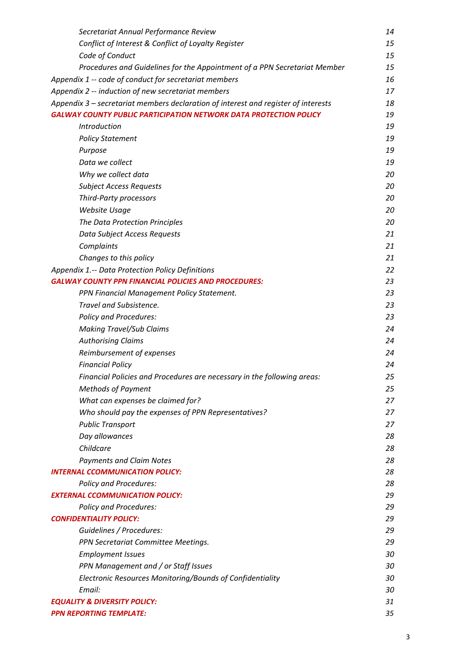| Secretariat Annual Performance Review                                              | 14 |
|------------------------------------------------------------------------------------|----|
| Conflict of Interest & Conflict of Loyalty Register                                | 15 |
| Code of Conduct                                                                    | 15 |
| Procedures and Guidelines for the Appointment of a PPN Secretariat Member          | 15 |
| Appendix 1 -- code of conduct for secretariat members                              | 16 |
| Appendix 2 -- induction of new secretariat members                                 | 17 |
| Appendix 3 – secretariat members declaration of interest and register of interests | 18 |
| <b>GALWAY COUNTY PUBLIC PARTICIPATION NETWORK DATA PROTECTION POLICY</b>           | 19 |
| <b>Introduction</b>                                                                | 19 |
| <b>Policy Statement</b>                                                            | 19 |
| Purpose                                                                            | 19 |
| Data we collect                                                                    | 19 |
| Why we collect data                                                                | 20 |
| <b>Subject Access Requests</b>                                                     | 20 |
| Third-Party processors                                                             | 20 |
| Website Usage                                                                      | 20 |
| The Data Protection Principles                                                     | 20 |
| Data Subject Access Requests                                                       | 21 |
| Complaints                                                                         | 21 |
| Changes to this policy                                                             | 21 |
| <b>Appendix 1.-- Data Protection Policy Definitions</b>                            | 22 |
| <b>GALWAY COUNTY PPN FINANCIAL POLICIES AND PROCEDURES:</b>                        | 23 |
| PPN Financial Management Policy Statement.                                         | 23 |
| Travel and Subsistence.                                                            | 23 |
| <b>Policy and Procedures:</b>                                                      | 23 |
| <b>Making Travel/Sub Claims</b>                                                    | 24 |
| <b>Authorising Claims</b>                                                          | 24 |
| Reimbursement of expenses                                                          | 24 |
| <b>Financial Policy</b>                                                            | 24 |
| Financial Policies and Procedures are necessary in the following areas:            | 25 |
| <b>Methods of Payment</b>                                                          | 25 |
| What can expenses be claimed for?                                                  | 27 |
| Who should pay the expenses of PPN Representatives?                                | 27 |
| <b>Public Transport</b>                                                            | 27 |
| Day allowances                                                                     | 28 |
| Childcare                                                                          | 28 |
| <b>Payments and Claim Notes</b>                                                    | 28 |
| <b>INTERNAL CCOMMUNICATION POLICY:</b>                                             | 28 |
| <b>Policy and Procedures:</b>                                                      | 28 |
| <b>EXTERNAL CCOMMUNICATION POLICY:</b>                                             | 29 |
| <b>Policy and Procedures:</b>                                                      | 29 |
| <b>CONFIDENTIALITY POLICY:</b>                                                     | 29 |
| Guidelines / Procedures:                                                           | 29 |
| PPN Secretariat Committee Meetings.                                                | 29 |
| <b>Employment Issues</b>                                                           | 30 |
| PPN Management and / or Staff Issues                                               | 30 |
| Electronic Resources Monitoring/Bounds of Confidentiality                          | 30 |
| Email:                                                                             | 30 |
| <b>EQUALITY &amp; DIVERSITY POLICY:</b>                                            | 31 |
| <b>PPN REPORTING TEMPLATE:</b>                                                     | 35 |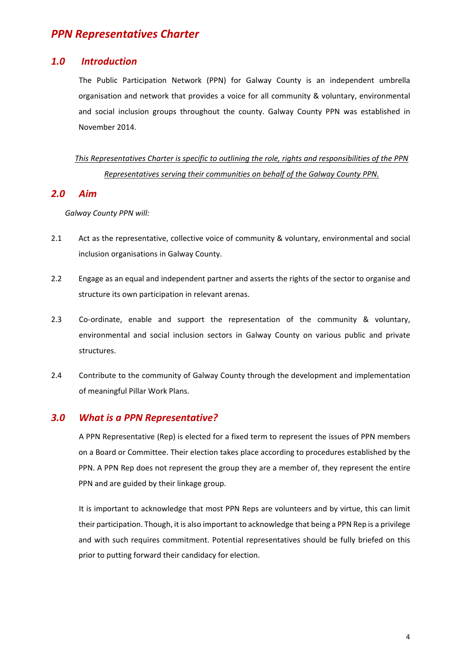## *PPN Representatives Charter*

#### *1.0 Introduction*

The Public Participation Network (PPN) for Galway County is an independent umbrella organisation and network that provides a voice for all community & voluntary, environmental and social inclusion groups throughout the county. Galway County PPN was established in November 2014.

*This Representatives Charter is specific to outlining the role, rights and responsibilities of the PPN Representatives serving their communities on behalf of the Galway County PPN.*

#### *2.0 Aim*

#### *Galway County PPN will:*

- 2.1 Act as the representative, collective voice of community & voluntary, environmental and social inclusion organisations in Galway County.
- 2.2 Engage as an equal and independent partner and asserts the rights of the sector to organise and structure its own participation in relevant arenas.
- 2.3 Co-ordinate, enable and support the representation of the community & voluntary, environmental and social inclusion sectors in Galway County on various public and private structures.
- 2.4 Contribute to the community of Galway County through the development and implementation of meaningful Pillar Work Plans.

#### *3.0 What is a PPN Representative?*

A PPN Representative (Rep) is elected for a fixed term to represent the issues of PPN members on a Board or Committee. Their election takes place according to procedures established by the PPN. A PPN Rep does not represent the group they are a member of, they represent the entire PPN and are guided by their linkage group.

It is important to acknowledge that most PPN Reps are volunteers and by virtue, this can limit their participation. Though, it is also important to acknowledge that being a PPN Rep is a privilege and with such requires commitment. Potential representatives should be fully briefed on this prior to putting forward their candidacy for election.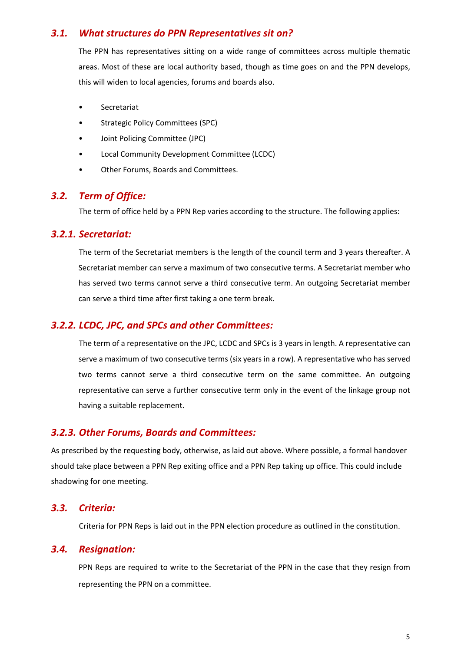#### *3.1. What structures do PPN Representatives sit on?*

The PPN has representatives sitting on a wide range of committees across multiple thematic areas. Most of these are local authority based, though as time goes on and the PPN develops, this will widen to local agencies, forums and boards also.

- **Secretariat**
- Strategic Policy Committees (SPC)
- Joint Policing Committee (JPC)
- Local Community Development Committee (LCDC)
- Other Forums, Boards and Committees.

#### *3.2. Term of Office:*

The term of office held by a PPN Rep varies according to the structure. The following applies:

#### *3.2.1. Secretariat:*

The term of the Secretariat members is the length of the council term and 3 years thereafter. A Secretariat member can serve a maximum of two consecutive terms. A Secretariat member who has served two terms cannot serve a third consecutive term. An outgoing Secretariat member can serve a third time after first taking a one term break.

#### *3.2.2. LCDC, JPC, and SPCs and other Committees:*

The term of a representative on the JPC, LCDC and SPCs is 3 years in length. A representative can serve a maximum of two consecutive terms (six years in a row). A representative who has served two terms cannot serve a third consecutive term on the same committee. An outgoing representative can serve a further consecutive term only in the event of the linkage group not having a suitable replacement.

#### *3.2.3. Other Forums, Boards and Committees:*

As prescribed by the requesting body, otherwise, as laid out above. Where possible, a formal handover should take place between a PPN Rep exiting office and a PPN Rep taking up office. This could include shadowing for one meeting.

#### *3.3. Criteria:*

Criteria for PPN Reps is laid out in the PPN election procedure as outlined in the constitution.

#### *3.4. Resignation:*

PPN Reps are required to write to the Secretariat of the PPN in the case that they resign from representing the PPN on a committee.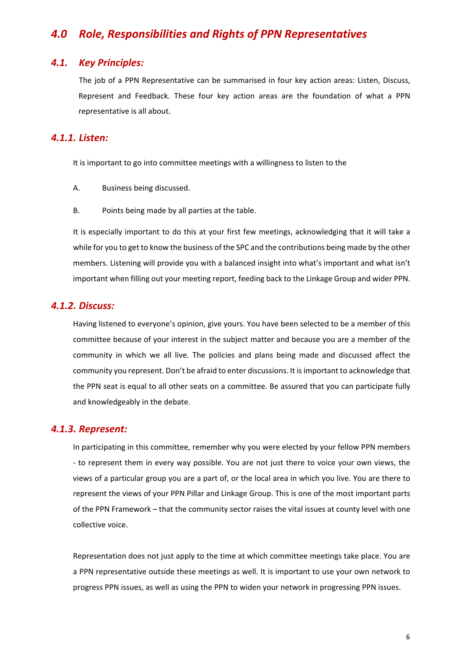## *4.0 Role, Responsibilities and Rights of PPN Representatives*

#### *4.1. Key Principles:*

The job of a PPN Representative can be summarised in four key action areas: Listen, Discuss, Represent and Feedback. These four key action areas are the foundation of what a PPN representative is all about.

#### *4.1.1. Listen:*

It is important to go into committee meetings with a willingness to listen to the

- A. Business being discussed.
- B. Points being made by all parties at the table.

It is especially important to do this at your first few meetings, acknowledging that it will take a while for you to get to know the business of the SPC and the contributions being made by the other members. Listening will provide you with a balanced insight into what's important and what isn't important when filling out your meeting report, feeding back to the Linkage Group and wider PPN.

#### *4.1.2. Discuss:*

Having listened to everyone's opinion, give yours. You have been selected to be a member of this committee because of your interest in the subject matter and because you are a member of the community in which we all live. The policies and plans being made and discussed affect the community you represent. Don't be afraid to enter discussions. It is important to acknowledge that the PPN seat is equal to all other seats on a committee. Be assured that you can participate fully and knowledgeably in the debate.

#### *4.1.3. Represent:*

In participating in this committee, remember why you were elected by your fellow PPN members - to represent them in every way possible. You are not just there to voice your own views, the views of a particular group you are a part of, or the local area in which you live. You are there to represent the views of your PPN Pillar and Linkage Group. This is one of the most important parts of the PPN Framework – that the community sector raises the vital issues at county level with one collective voice.

Representation does not just apply to the time at which committee meetings take place. You are a PPN representative outside these meetings as well. It is important to use your own network to progress PPN issues, as well as using the PPN to widen your network in progressing PPN issues.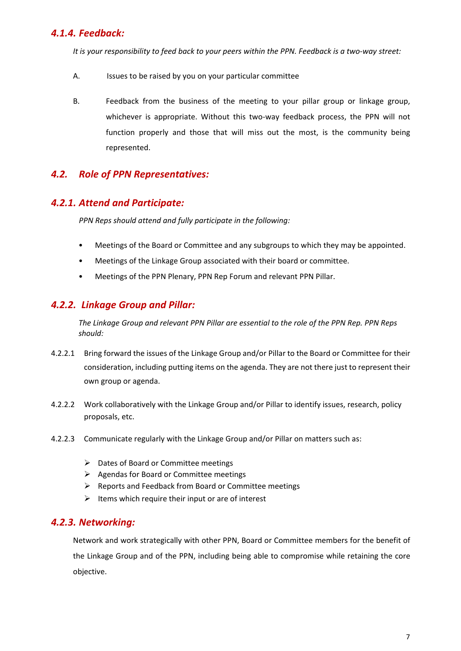## *4.1.4. Feedback:*

*It is your responsibility to feed back to your peers within the PPN. Feedback is a two-way street:*

- A. Issues to be raised by you on your particular committee
- B. Feedback from the business of the meeting to your pillar group or linkage group, whichever is appropriate. Without this two-way feedback process, the PPN will not function properly and those that will miss out the most, is the community being represented.

## *4.2. Role of PPN Representatives:*

#### *4.2.1. Attend and Participate:*

*PPN Reps should attend and fully participate in the following:*

- Meetings of the Board or Committee and any subgroups to which they may be appointed.
- Meetings of the Linkage Group associated with their board or committee.
- Meetings of the PPN Plenary, PPN Rep Forum and relevant PPN Pillar.

## *4.2.2. Linkage Group and Pillar:*

*The Linkage Group and relevant PPN Pillar are essential to the role of the PPN Rep. PPN Reps should:*

- 4.2.2.1 Bring forward the issues of the Linkage Group and/or Pillar to the Board or Committee for their consideration, including putting items on the agenda. They are not there just to represent their own group or agenda.
- 4.2.2.2 Work collaboratively with the Linkage Group and/or Pillar to identify issues, research, policy proposals, etc.
- 4.2.2.3 Communicate regularly with the Linkage Group and/or Pillar on matters such as:
	- $\triangleright$  Dates of Board or Committee meetings
	- $\triangleright$  Agendas for Board or Committee meetings
	- $\triangleright$  Reports and Feedback from Board or Committee meetings
	- $\triangleright$  Items which require their input or are of interest

#### *4.2.3. Networking:*

Network and work strategically with other PPN, Board or Committee members for the benefit of the Linkage Group and of the PPN, including being able to compromise while retaining the core objective.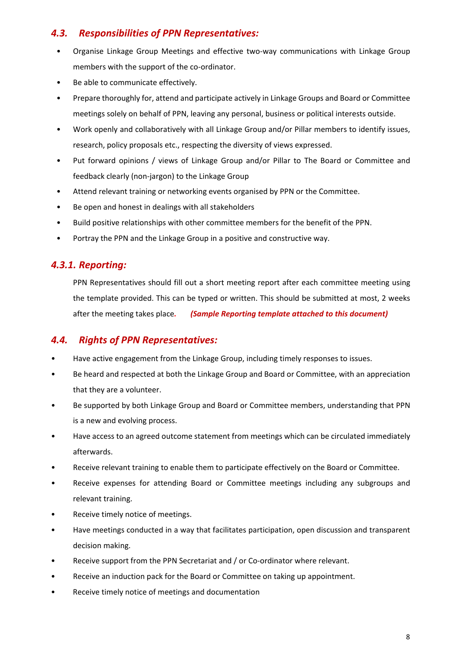## *4.3. Responsibilities of PPN Representatives:*

- Organise Linkage Group Meetings and effective two-way communications with Linkage Group members with the support of the co-ordinator.
- Be able to communicate effectively.
- Prepare thoroughly for, attend and participate actively in Linkage Groups and Board or Committee meetings solely on behalf of PPN, leaving any personal, business or political interests outside.
- Work openly and collaboratively with all Linkage Group and/or Pillar members to identify issues, research, policy proposals etc., respecting the diversity of views expressed.
- Put forward opinions / views of Linkage Group and/or Pillar to The Board or Committee and feedback clearly (non-jargon) to the Linkage Group
- Attend relevant training or networking events organised by PPN or the Committee.
- Be open and honest in dealings with all stakeholders
- Build positive relationships with other committee members for the benefit of the PPN.
- Portray the PPN and the Linkage Group in a positive and constructive way.

## *4.3.1. Reporting:*

PPN Representatives should fill out a short meeting report after each committee meeting using the template provided. This can be typed or written. This should be submitted at most, 2 weeks after the meeting takes place*. (Sample Reporting template attached to this document)*

## *4.4. Rights of PPN Representatives:*

- Have active engagement from the Linkage Group, including timely responses to issues.
- Be heard and respected at both the Linkage Group and Board or Committee, with an appreciation that they are a volunteer.
- Be supported by both Linkage Group and Board or Committee members, understanding that PPN is a new and evolving process.
- Have access to an agreed outcome statement from meetings which can be circulated immediately afterwards.
- Receive relevant training to enable them to participate effectively on the Board or Committee.
- Receive expenses for attending Board or Committee meetings including any subgroups and relevant training.
- Receive timely notice of meetings.
- Have meetings conducted in a way that facilitates participation, open discussion and transparent decision making.
- Receive support from the PPN Secretariat and / or Co-ordinator where relevant.
- Receive an induction pack for the Board or Committee on taking up appointment.
- Receive timely notice of meetings and documentation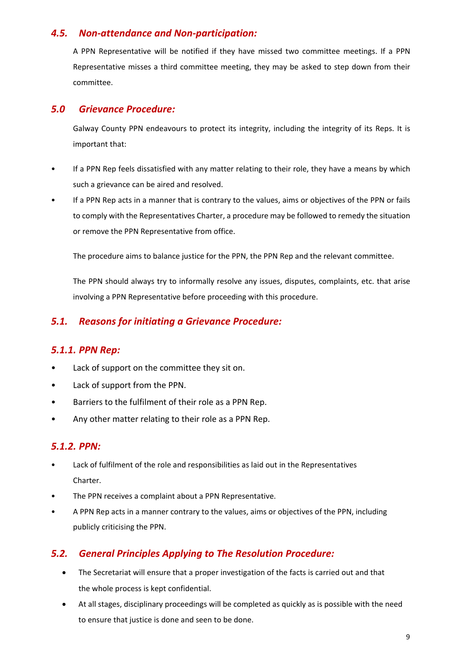#### *4.5. Non-attendance and Non-participation:*

A PPN Representative will be notified if they have missed two committee meetings. If a PPN Representative misses a third committee meeting, they may be asked to step down from their committee.

#### *5.0 Grievance Procedure:*

Galway County PPN endeavours to protect its integrity, including the integrity of its Reps. It is important that:

- If a PPN Rep feels dissatisfied with any matter relating to their role, they have a means by which such a grievance can be aired and resolved.
- If a PPN Rep acts in a manner that is contrary to the values, aims or objectives of the PPN or fails to comply with the Representatives Charter, a procedure may be followed to remedy the situation or remove the PPN Representative from office.

The procedure aims to balance justice for the PPN, the PPN Rep and the relevant committee.

The PPN should always try to informally resolve any issues, disputes, complaints, etc. that arise involving a PPN Representative before proceeding with this procedure.

## *5.1. Reasons for initiating a Grievance Procedure:*

## *5.1.1. PPN Rep:*

- Lack of support on the committee they sit on.
- Lack of support from the PPN.
- Barriers to the fulfilment of their role as a PPN Rep.
- Any other matter relating to their role as a PPN Rep.

#### *5.1.2. PPN:*

- Lack of fulfilment of the role and responsibilities as laid out in the Representatives Charter.
- The PPN receives a complaint about a PPN Representative.
- A PPN Rep acts in a manner contrary to the values, aims or objectives of the PPN, including publicly criticising the PPN.

## *5.2. General Principles Applying to The Resolution Procedure:*

- The Secretariat will ensure that a proper investigation of the facts is carried out and that the whole process is kept confidential.
- At all stages, disciplinary proceedings will be completed as quickly as is possible with the need to ensure that justice is done and seen to be done.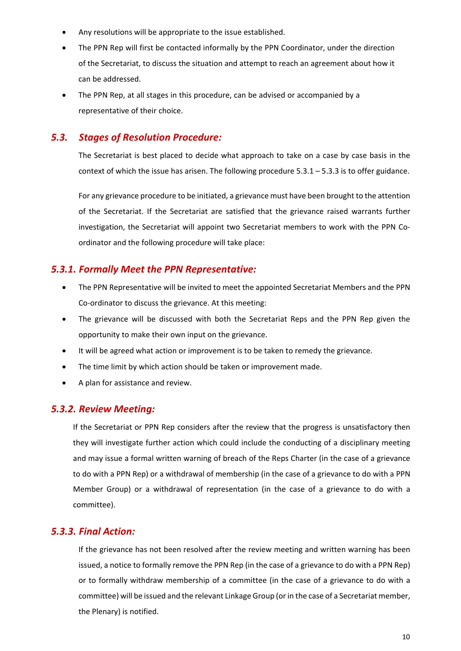- Any resolutions will be appropriate to the issue established.
- The PPN Rep will first be contacted informally by the PPN Coordinator, under the direction of the Secretariat, to discuss the situation and attempt to reach an agreement about how it can be addressed.
- The PPN Rep, at all stages in this procedure, can be advised or accompanied by a representative of their choice.

## *5.3. Stages of Resolution Procedure:*

The Secretariat is best placed to decide what approach to take on a case by case basis in the context of which the issue has arisen. The following procedure  $5.3.1 - 5.3.3$  is to offer guidance.

For any grievance procedure to be initiated, a grievance must have been brought to the attention of the Secretariat. If the Secretariat are satisfied that the grievance raised warrants further investigation, the Secretariat will appoint two Secretariat members to work with the PPN Coordinator and the following procedure will take place:

## *5.3.1. Formally Meet the PPN Representative:*

- The PPN Representative will be invited to meet the appointed Secretariat Members and the PPN Co-ordinator to discuss the grievance. At this meeting:
- The grievance will be discussed with both the Secretariat Reps and the PPN Rep given the opportunity to make their own input on the grievance.
- It will be agreed what action or improvement is to be taken to remedy the grievance.
- The time limit by which action should be taken or improvement made.
- A plan for assistance and review.

## *5.3.2. Review Meeting:*

If the Secretariat or PPN Rep considers after the review that the progress is unsatisfactory then they will investigate further action which could include the conducting of a disciplinary meeting and may issue a formal written warning of breach of the Reps Charter (in the case of a grievance to do with a PPN Rep) or a withdrawal of membership (in the case of a grievance to do with a PPN Member Group) or a withdrawal of representation (in the case of a grievance to do with a committee).

## *5.3.3. Final Action:*

If the grievance has not been resolved after the review meeting and written warning has been issued, a notice to formally remove the PPN Rep (in the case of a grievance to do with a PPN Rep) or to formally withdraw membership of a committee (in the case of a grievance to do with a committee) will be issued and the relevant Linkage Group (or in the case of a Secretariat member, the Plenary) is notified.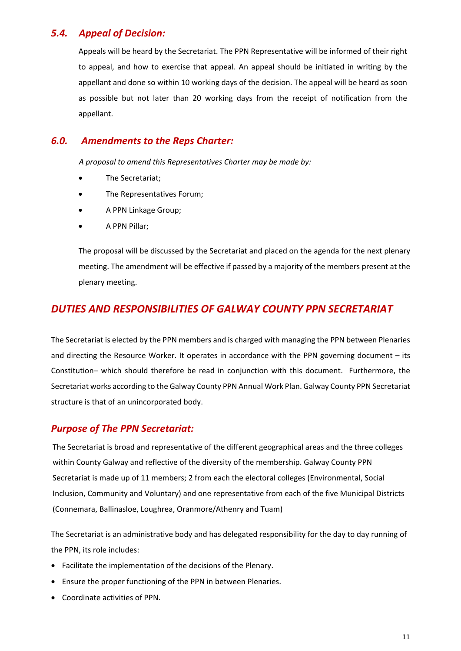## *5.4. Appeal of Decision:*

Appeals will be heard by the Secretariat. The PPN Representative will be informed of their right to appeal, and how to exercise that appeal. An appeal should be initiated in writing by the appellant and done so within 10 working days of the decision. The appeal will be heard as soon as possible but not later than 20 working days from the receipt of notification from the appellant.

## *6.0. Amendments to the Reps Charter:*

*A proposal to amend this Representatives Charter may be made by:*

- The Secretariat;
- The Representatives Forum;
- A PPN Linkage Group;
- A PPN Pillar;

The proposal will be discussed by the Secretariat and placed on the agenda for the next plenary meeting. The amendment will be effective if passed by a majority of the members present at the plenary meeting.

## *DUTIES AND RESPONSIBILITIES OF GALWAY COUNTY PPN SECRETARIAT*

The Secretariat is elected by the PPN members and is charged with managing the PPN between Plenaries and directing the Resource Worker. It operates in accordance with the PPN governing document – its Constitution– which should therefore be read in conjunction with this document. Furthermore, the Secretariat works according to the Galway County PPN Annual Work Plan. Galway County PPN Secretariat structure is that of an unincorporated body.

## *Purpose of The PPN Secretariat:*

The Secretariat is broad and representative of the different geographical areas and the three colleges within County Galway and reflective of the diversity of the membership. Galway County PPN Secretariat is made up of 11 members; 2 from each the electoral colleges (Environmental, Social Inclusion, Community and Voluntary) and one representative from each of the five Municipal Districts (Connemara, Ballinasloe, Loughrea, Oranmore/Athenry and Tuam)

The Secretariat is an administrative body and has delegated responsibility for the day to day running of the PPN, its role includes:

- Facilitate the implementation of the decisions of the Plenary.
- Ensure the proper functioning of the PPN in between Plenaries.
- Coordinate activities of PPN.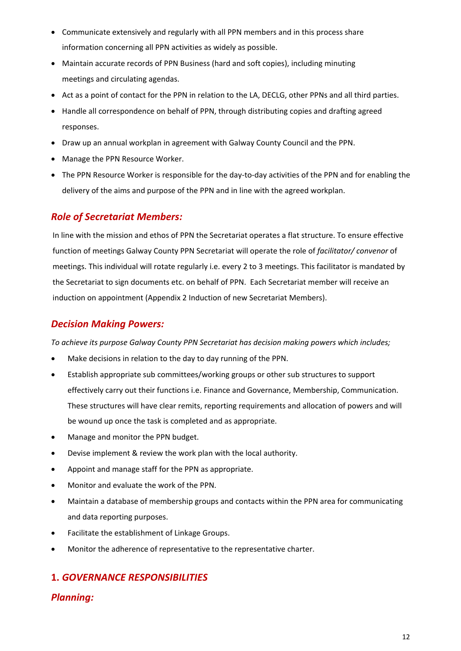- Communicate extensively and regularly with all PPN members and in this process share information concerning all PPN activities as widely as possible.
- Maintain accurate records of PPN Business (hard and soft copies), including minuting meetings and circulating agendas.
- Act as a point of contact for the PPN in relation to the LA, DECLG, other PPNs and all third parties.
- Handle all correspondence on behalf of PPN, through distributing copies and drafting agreed responses.
- Draw up an annual workplan in agreement with Galway County Council and the PPN.
- Manage the PPN Resource Worker.
- The PPN Resource Worker is responsible for the day-to-day activities of the PPN and for enabling the delivery of the aims and purpose of the PPN and in line with the agreed workplan.

## *Role of Secretariat Members:*

In line with the mission and ethos of PPN the Secretariat operates a flat structure. To ensure effective function of meetings Galway County PPN Secretariat will operate the role of *facilitator/ convenor* of meetings. This individual will rotate regularly i.e. every 2 to 3 meetings. This facilitator is mandated by the Secretariat to sign documents etc. on behalf of PPN. Each Secretariat member will receive an induction on appointment (Appendix 2 Induction of new Secretariat Members).

## *Decision Making Powers:*

*To achieve its purpose Galway County PPN Secretariat has decision making powers which includes;* 

- Make decisions in relation to the day to day running of the PPN.
- Establish appropriate sub committees/working groups or other sub structures to support effectively carry out their functions i.e. Finance and Governance, Membership, Communication. These structures will have clear remits, reporting requirements and allocation of powers and will be wound up once the task is completed and as appropriate.
- Manage and monitor the PPN budget.
- Devise implement & review the work plan with the local authority.
- Appoint and manage staff for the PPN as appropriate.
- Monitor and evaluate the work of the PPN.
- Maintain a database of membership groups and contacts within the PPN area for communicating and data reporting purposes.
- Facilitate the establishment of Linkage Groups.
- Monitor the adherence of representative to the representative charter.

## **1.** *GOVERNANCE RESPONSIBILITIES*

## *Planning:*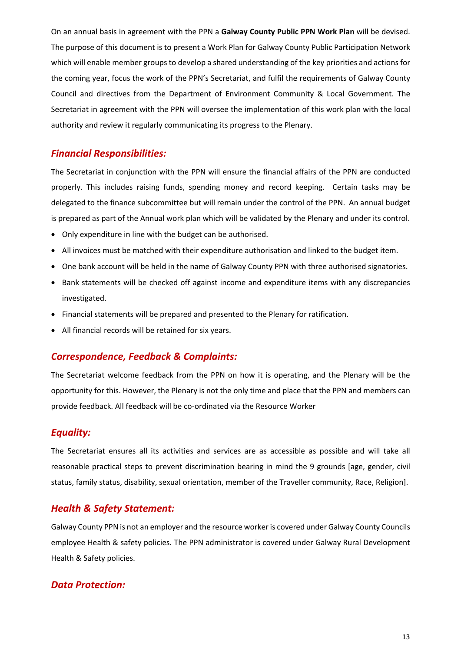On an annual basis in agreement with the PPN a **Galway County Public PPN Work Plan** will be devised. The purpose of this document is to present a Work Plan for Galway County Public Participation Network which will enable member groups to develop a shared understanding of the key priorities and actions for the coming year, focus the work of the PPN's Secretariat, and fulfil the requirements of Galway County Council and directives from the Department of Environment Community & Local Government. The Secretariat in agreement with the PPN will oversee the implementation of this work plan with the local authority and review it regularly communicating its progress to the Plenary.

#### *Financial Responsibilities:*

The Secretariat in conjunction with the PPN will ensure the financial affairs of the PPN are conducted properly. This includes raising funds, spending money and record keeping. Certain tasks may be delegated to the finance subcommittee but will remain under the control of the PPN. An annual budget is prepared as part of the Annual work plan which will be validated by the Plenary and under its control.

- Only expenditure in line with the budget can be authorised.
- All invoices must be matched with their expenditure authorisation and linked to the budget item.
- One bank account will be held in the name of Galway County PPN with three authorised signatories.
- Bank statements will be checked off against income and expenditure items with any discrepancies investigated.
- Financial statements will be prepared and presented to the Plenary for ratification.
- All financial records will be retained for six years.

## *Correspondence, Feedback & Complaints:*

The Secretariat welcome feedback from the PPN on how it is operating, and the Plenary will be the opportunity for this. However, the Plenary is not the only time and place that the PPN and members can provide feedback. All feedback will be co-ordinated via the Resource Worker

## *Equality:*

The Secretariat ensures all its activities and services are as accessible as possible and will take all reasonable practical steps to prevent discrimination bearing in mind the 9 grounds [age, gender, civil status, family status, disability, sexual orientation, member of the Traveller community, Race, Religion].

## *Health & Safety Statement:*

Galway County PPN is not an employer and the resource worker is covered under Galway County Councils employee Health & safety policies. The PPN administrator is covered under Galway Rural Development Health & Safety policies.

## *Data Protection:*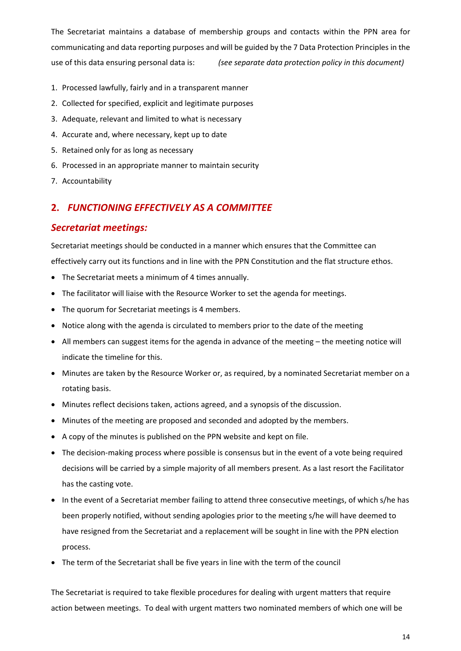The Secretariat maintains a database of membership groups and contacts within the PPN area for communicating and data reporting purposes and will be guided by the 7 Data Protection Principles in the use of this data ensuring personal data is: *(see separate data protection policy in this document)*

- 1. Processed lawfully, fairly and in a transparent manner
- 2. Collected for specified, explicit and legitimate purposes
- 3. Adequate, relevant and limited to what is necessary
- 4. Accurate and, where necessary, kept up to date
- 5. Retained only for as long as necessary
- 6. Processed in an appropriate manner to maintain security
- 7. Accountability

## **2.** *FUNCTIONING EFFECTIVELY AS A COMMITTEE*

#### *Secretariat meetings:*

Secretariat meetings should be conducted in a manner which ensures that the Committee can effectively carry out its functions and in line with the PPN Constitution and the flat structure ethos.

- The Secretariat meets a minimum of 4 times annually.
- The facilitator will liaise with the Resource Worker to set the agenda for meetings.
- The quorum for Secretariat meetings is 4 members.
- Notice along with the agenda is circulated to members prior to the date of the meeting
- All members can suggest items for the agenda in advance of the meeting the meeting notice will indicate the timeline for this.
- Minutes are taken by the Resource Worker or, as required, by a nominated Secretariat member on a rotating basis.
- Minutes reflect decisions taken, actions agreed, and a synopsis of the discussion.
- Minutes of the meeting are proposed and seconded and adopted by the members.
- A copy of the minutes is published on the PPN website and kept on file.
- The decision-making process where possible is consensus but in the event of a vote being required decisions will be carried by a simple majority of all members present. As a last resort the Facilitator has the casting vote.
- In the event of a Secretariat member failing to attend three consecutive meetings, of which s/he has been properly notified, without sending apologies prior to the meeting s/he will have deemed to have resigned from the Secretariat and a replacement will be sought in line with the PPN election process.
- The term of the Secretariat shall be five years in line with the term of the council

The Secretariat is required to take flexible procedures for dealing with urgent matters that require action between meetings. To deal with urgent matters two nominated members of which one will be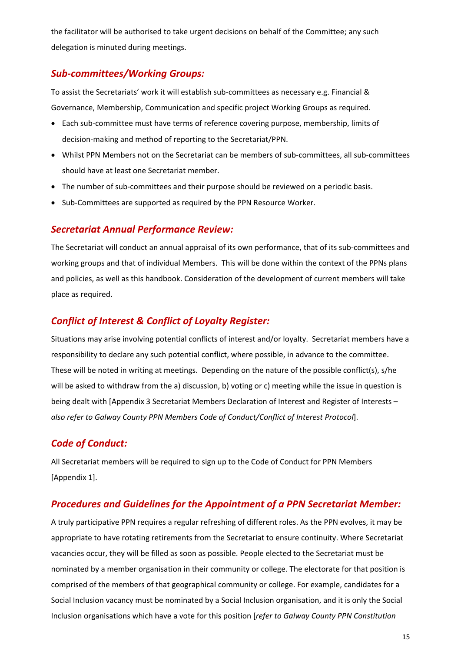the facilitator will be authorised to take urgent decisions on behalf of the Committee; any such delegation is minuted during meetings.

#### *Sub-committees/Working Groups:*

To assist the Secretariats' work it will establish sub-committees as necessary e.g. Financial & Governance, Membership, Communication and specific project Working Groups as required.

- Each sub-committee must have terms of reference covering purpose, membership, limits of decision-making and method of reporting to the Secretariat/PPN.
- Whilst PPN Members not on the Secretariat can be members of sub-committees, all sub-committees should have at least one Secretariat member.
- The number of sub-committees and their purpose should be reviewed on a periodic basis.
- Sub-Committees are supported as required by the PPN Resource Worker.

## *Secretariat Annual Performance Review:*

The Secretariat will conduct an annual appraisal of its own performance, that of its sub-committees and working groups and that of individual Members. This will be done within the context of the PPNs plans and policies, as well as this handbook. Consideration of the development of current members will take place as required.

## *Conflict of Interest & Conflict of Loyalty Register:*

Situations may arise involving potential conflicts of interest and/or loyalty. Secretariat members have a responsibility to declare any such potential conflict, where possible, in advance to the committee. These will be noted in writing at meetings. Depending on the nature of the possible conflict(s), s/he will be asked to withdraw from the a) discussion, b) voting or c) meeting while the issue in question is being dealt with [Appendix 3 Secretariat Members Declaration of Interest and Register of Interests *also refer to Galway County PPN Members Code of Conduct/Conflict of Interest Protocol*].

## *Code of Conduct:*

All Secretariat members will be required to sign up to the Code of Conduct for PPN Members [Appendix 1].

## *Procedures and Guidelines for the Appointment of a PPN Secretariat Member:*

A truly participative PPN requires a regular refreshing of different roles. As the PPN evolves, it may be appropriate to have rotating retirements from the Secretariat to ensure continuity. Where Secretariat vacancies occur, they will be filled as soon as possible. People elected to the Secretariat must be nominated by a member organisation in their community or college. The electorate for that position is comprised of the members of that geographical community or college. For example, candidates for a Social Inclusion vacancy must be nominated by a Social Inclusion organisation, and it is only the Social Inclusion organisations which have a vote for this position [*refer to Galway County PPN Constitution*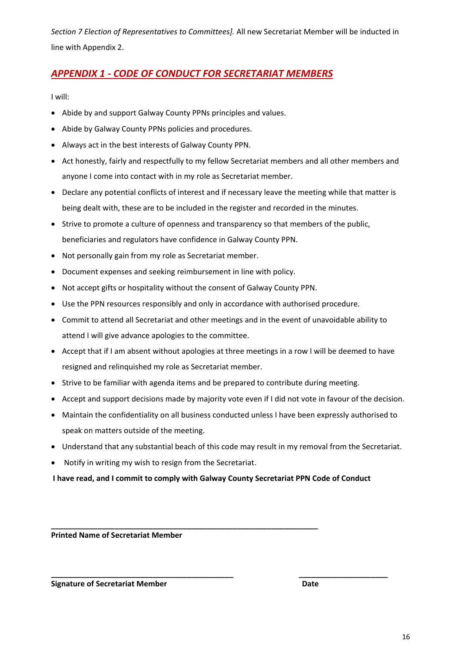*Section 7 Election of Representatives to Committees].* All new Secretariat Member will be inducted in line with Appendix 2.

## *APPENDIX 1 - CODE OF CONDUCT FOR SECRETARIAT MEMBERS*

I will:

- Abide by and support Galway County PPNs principles and values.
- Abide by Galway County PPNs policies and procedures.
- Always act in the best interests of Galway County PPN.
- Act honestly, fairly and respectfully to my fellow Secretariat members and all other members and anyone I come into contact with in my role as Secretariat member.
- Declare any potential conflicts of interest and if necessary leave the meeting while that matter is being dealt with, these are to be included in the register and recorded in the minutes.
- Strive to promote a culture of openness and transparency so that members of the public, beneficiaries and regulators have confidence in Galway County PPN.
- Not personally gain from my role as Secretariat member.
- Document expenses and seeking reimbursement in line with policy.
- Not accept gifts or hospitality without the consent of Galway County PPN.
- Use the PPN resources responsibly and only in accordance with authorised procedure.
- Commit to attend all Secretariat and other meetings and in the event of unavoidable ability to attend I will give advance apologies to the committee.
- Accept that if I am absent without apologies at three meetings in a row I will be deemed to have resigned and relinquished my role as Secretariat member.
- Strive to be familiar with agenda items and be prepared to contribute during meeting.
- Accept and support decisions made by majority vote even if I did not vote in favour of the decision.
- Maintain the confidentiality on all business conducted unless I have been expressly authorised to speak on matters outside of the meeting.
- Understand that any substantial beach of this code may result in my removal from the Secretariat.
- Notify in writing my wish to resign from the Secretariat.

#### **I have read, and I commit to comply with Galway County Secretariat PPN Code of Conduct**

**\_\_\_\_\_\_\_\_\_\_\_\_\_\_\_\_\_\_\_\_\_\_\_\_\_\_\_\_\_\_\_\_\_\_\_\_\_\_\_\_\_\_\_ \_\_\_\_\_\_\_\_\_\_\_\_\_\_\_\_\_\_\_\_\_**

**\_\_\_\_\_\_\_\_\_\_\_\_\_\_\_\_\_\_\_\_\_\_\_\_\_\_\_\_\_\_\_\_\_\_\_\_\_\_\_\_\_\_\_\_\_\_\_\_\_\_\_\_\_\_\_\_\_\_\_\_\_\_\_** 

**Printed Name of Secretariat Member** 

**Signature of Secretariat Member Date Accord Pate Control Date**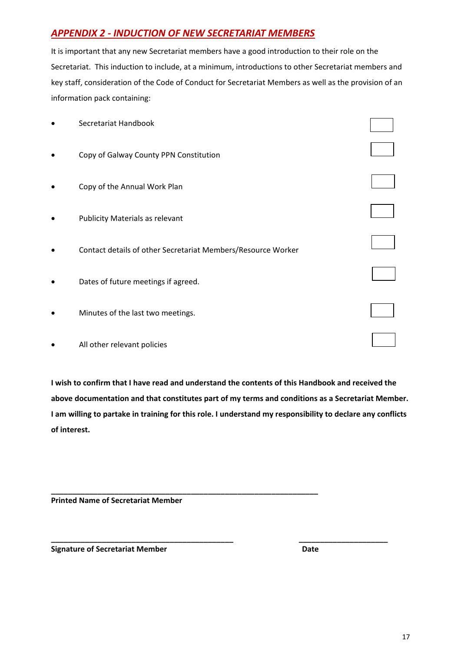## *APPENDIX 2 - INDUCTION OF NEW SECRETARIAT MEMBERS*

It is important that any new Secretariat members have a good introduction to their role on the Secretariat. This induction to include, at a minimum, introductions to other Secretariat members and key staff, consideration of the Code of Conduct for Secretariat Members as well as the provision of an information pack containing:

| Secretariat Handbook                                         |  |
|--------------------------------------------------------------|--|
| Copy of Galway County PPN Constitution                       |  |
| Copy of the Annual Work Plan                                 |  |
| <b>Publicity Materials as relevant</b>                       |  |
| Contact details of other Secretariat Members/Resource Worker |  |
| Dates of future meetings if agreed.                          |  |
| Minutes of the last two meetings.                            |  |
| All other relevant policies                                  |  |

**I wish to confirm that I have read and understand the contents of this Handbook and received the above documentation and that constitutes part of my terms and conditions as a Secretariat Member. I am willing to partake in training for this role. I understand my responsibility to declare any conflicts of interest.**

**\_\_\_\_\_\_\_\_\_\_\_\_\_\_\_\_\_\_\_\_\_\_\_\_\_\_\_\_\_\_\_\_\_\_\_\_\_\_\_\_\_\_\_ \_\_\_\_\_\_\_\_\_\_\_\_\_\_\_\_\_\_\_\_\_**

**\_\_\_\_\_\_\_\_\_\_\_\_\_\_\_\_\_\_\_\_\_\_\_\_\_\_\_\_\_\_\_\_\_\_\_\_\_\_\_\_\_\_\_\_\_\_\_\_\_\_\_\_\_\_\_\_\_\_\_\_\_\_\_** 

**Printed Name of Secretariat Member** 

**Signature of Secretariat Member Date**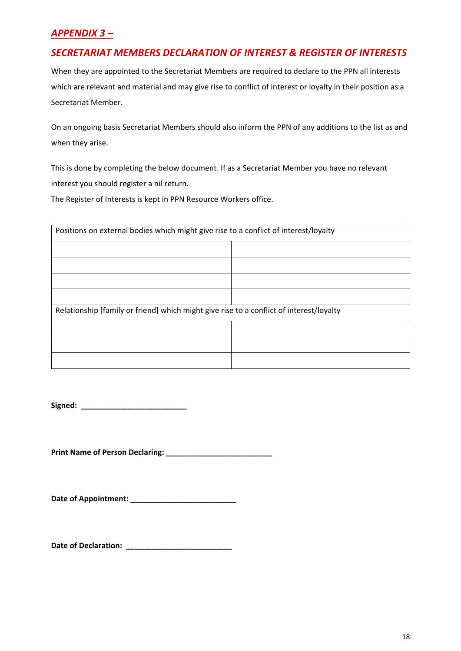## *APPENDIX 3 –*

## *SECRETARIAT MEMBERS DECLARATION OF INTEREST & REGISTER OF INTERESTS*

When they are appointed to the Secretariat Members are required to declare to the PPN all interests which are relevant and material and may give rise to conflict of interest or loyalty in their position as a Secretariat Member.

On an ongoing basis Secretariat Members should also inform the PPN of any additions to the list as and when they arise.

This is done by completing the below document. If as a Secretariat Member you have no relevant interest you should register a nil return.

The Register of Interests is kept in PPN Resource Workers office.

| Positions on external bodies which might give rise to a conflict of interest/loyalty    |  |  |
|-----------------------------------------------------------------------------------------|--|--|
|                                                                                         |  |  |
|                                                                                         |  |  |
|                                                                                         |  |  |
|                                                                                         |  |  |
| Relationship [family or friend] which might give rise to a conflict of interest/loyalty |  |  |
|                                                                                         |  |  |
|                                                                                         |  |  |
|                                                                                         |  |  |

**Signed: \_\_\_\_\_\_\_\_\_\_\_\_\_\_\_\_\_\_\_\_\_\_\_\_\_** 

**Print Name of Person Declaring: \_\_\_\_\_\_\_\_\_\_\_\_\_\_\_\_\_\_\_\_\_\_\_\_\_** 

**Date of Appointment: \_\_\_\_\_\_\_\_\_\_\_\_\_\_\_\_\_\_\_\_\_\_\_\_\_** 

**Date of Declaration: \_\_\_\_\_\_\_\_\_\_\_\_\_\_\_\_\_\_\_\_\_\_\_\_\_**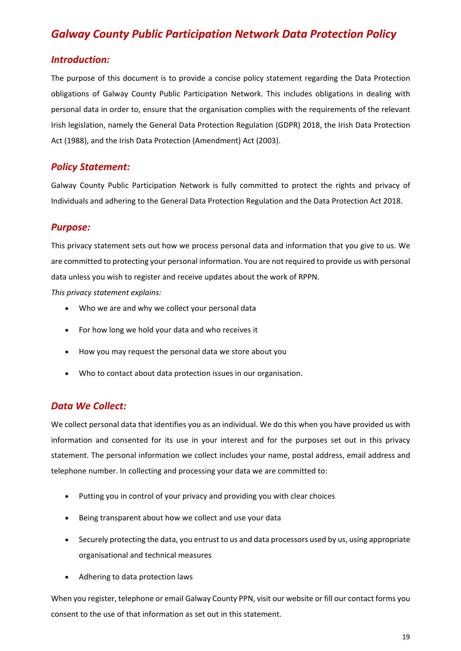## *Galway County Public Participation Network Data Protection Policy*

#### *Introduction:*

The purpose of this document is to provide a concise policy statement regarding the Data Protection obligations of Galway County Public Participation Network. This includes obligations in dealing with personal data in order to, ensure that the organisation complies with the requirements of the relevant Irish legislation, namely the General Data Protection Regulation (GDPR) 2018, the Irish Data Protection Act (1988), and the Irish Data Protection (Amendment) Act (2003).

#### *Policy Statement:*

Galway County Public Participation Network is fully committed to protect the rights and privacy of Individuals and adhering to the General Data Protection Regulation and the Data Protection Act 2018.

#### *Purpose:*

This privacy statement sets out how we process personal data and information that you give to us. We are committed to protecting your personal information. You are not required to provide us with personal data unless you wish to register and receive updates about the work of RPPN.

*This privacy statement explains:*

- Who we are and why we collect your personal data
- For how long we hold your data and who receives it
- How you may request the personal data we store about you
- Who to contact about data protection issues in our organisation.

## *Data We Collect:*

We collect personal data that identifies you as an individual. We do this when you have provided us with information and consented for its use in your interest and for the purposes set out in this privacy statement. The personal information we collect includes your name, postal address, email address and telephone number. In collecting and processing your data we are committed to:

- Putting you in control of your privacy and providing you with clear choices
- Being transparent about how we collect and use your data
- Securely protecting the data, you entrust to us and data processors used by us, using appropriate organisational and technical measures
- Adhering to data protection laws

When you register, telephone or email Galway County PPN, visit our website or fill our contact forms you consent to the use of that information as set out in this statement.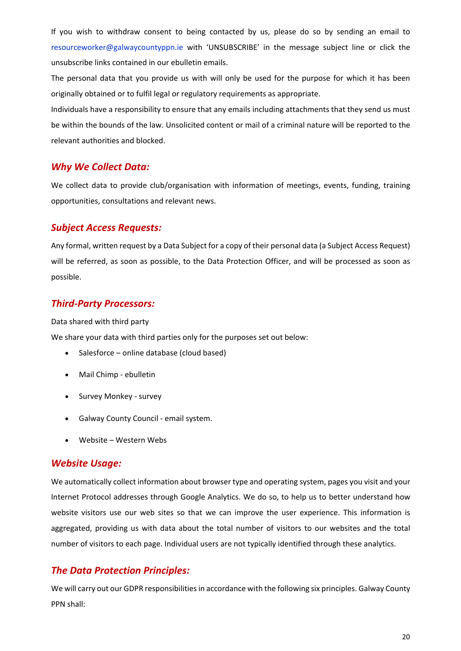If you wish to withdraw consent to being contacted by us, please do so by sending an email to resourceworker@galwaycountyppn.ie with 'UNSUBSCRIBE' in the message subject line or click the unsubscribe links contained in our ebulletin emails.

The personal data that you provide us with will only be used for the purpose for which it has been originally obtained or to fulfil legal or regulatory requirements as appropriate.

Individuals have a responsibility to ensure that any emails including attachments that they send us must be within the bounds of the law. Unsolicited content or mail of a criminal nature will be reported to the relevant authorities and blocked.

#### *Why We Collect Data:*

We collect data to provide club/organisation with information of meetings, events, funding, training opportunities, consultations and relevant news.

#### *Subject Access Requests:*

Any formal, written request by a Data Subject for a copy of their personal data (a Subject Access Request) will be referred, as soon as possible, to the Data Protection Officer, and will be processed as soon as possible.

#### *Third-Party Processors:*

Data shared with third party

We share your data with third parties only for the purposes set out below:

- Salesforce online database (cloud based)
- Mail Chimp ebulletin
- Survey Monkey survey
- Galway County Council email system.
- Website Western Webs

#### *Website Usage:*

We automatically collect information about browser type and operating system, pages you visit and your Internet Protocol addresses through Google Analytics. We do so, to help us to better understand how website visitors use our web sites so that we can improve the user experience. This information is aggregated, providing us with data about the total number of visitors to our websites and the total number of visitors to each page. Individual users are not typically identified through these analytics.

## *The Data Protection Principles:*

We will carry out our GDPR responsibilities in accordance with the following six principles. Galway County PPN shall: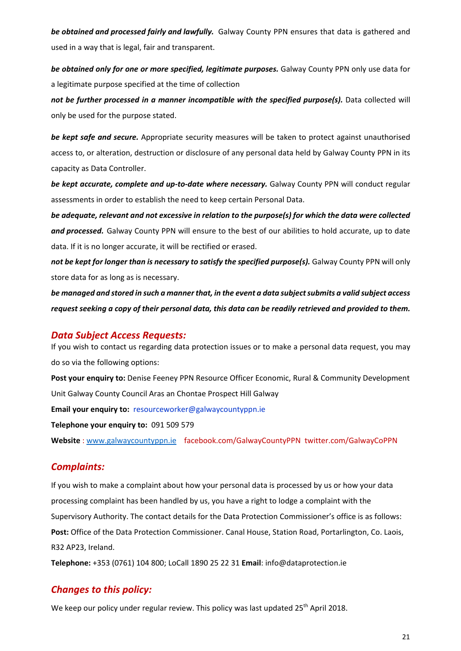*be obtained and processed fairly and lawfully.* Galway County PPN ensures that data is gathered and used in a way that is legal, fair and transparent.

*be obtained only for one or more specified, legitimate purposes.* Galway County PPN only use data for a legitimate purpose specified at the time of collection

*not be further processed in a manner incompatible with the specified purpose(s).* Data collected will only be used for the purpose stated.

*be kept safe and secure.* Appropriate security measures will be taken to protect against unauthorised access to, or alteration, destruction or disclosure of any personal data held by Galway County PPN in its capacity as Data Controller.

*be kept accurate, complete and up-to-date where necessary.* Galway County PPN will conduct regular assessments in order to establish the need to keep certain Personal Data.

*be adequate, relevant and not excessive in relation to the purpose(s) for which the data were collected and processed.* Galway County PPN will ensure to the best of our abilities to hold accurate, up to date data. If it is no longer accurate, it will be rectified or erased.

*not be kept for longer than is necessary to satisfy the specified purpose(s).* Galway County PPN will only store data for as long as is necessary.

*be managed and stored in such a manner that, in the event a data subject submits a valid subject access request seeking a copy of their personal data, this data can be readily retrieved and provided to them.*

#### *Data Subject Access Requests:*

If you wish to contact us regarding data protection issues or to make a personal data request, you may do so via the following options:

**Post your enquiry to:** Denise Feeney PPN Resource Officer Economic, Rural & Community Development Unit Galway County Council Aras an Chontae Prospect Hill Galway

**Email your enquiry to:** resourceworker@galwaycountyppn.ie

**Telephone your enquiry to:** 091 509 579

**Website** : [www.galwaycountyppn.ie](http://www.galwaycountyppn.ie/) facebook.com/GalwayCountyPPN twitter.com/GalwayCoPPN

## *Complaints:*

If you wish to make a complaint about how your personal data is processed by us or how your data processing complaint has been handled by us, you have a right to lodge a complaint with the Supervisory Authority. The contact details for the Data Protection Commissioner's office is as follows: **Post:** Office of the Data Protection Commissioner. Canal House, Station Road, Portarlington, Co. Laois, R32 AP23, Ireland.

**Telephone:** +353 (0761) 104 800; LoCall 1890 25 22 31 **Email**: info@dataprotection.ie

## *Changes to this policy:*

We keep our policy under regular review. This policy was last updated 25<sup>th</sup> April 2018.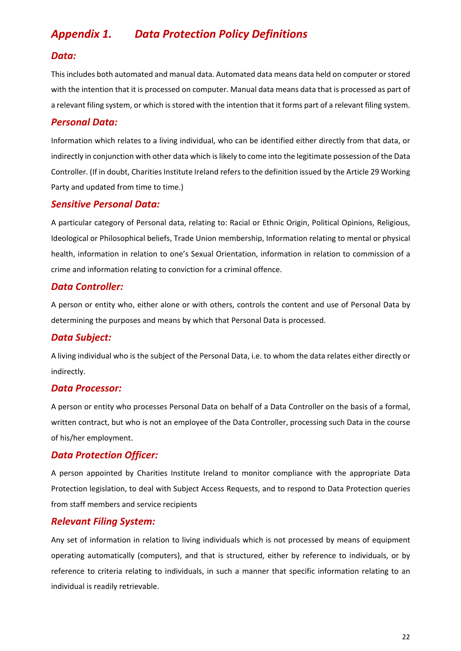## *Appendix 1. Data Protection Policy Definitions*

#### *Data:*

This includes both automated and manual data. Automated data means data held on computer or stored with the intention that it is processed on computer. Manual data means data that is processed as part of a relevant filing system, or which is stored with the intention that it forms part of a relevant filing system.

#### *Personal Data:*

Information which relates to a living individual, who can be identified either directly from that data, or indirectly in conjunction with other data which is likely to come into the legitimate possession of the Data Controller. (If in doubt, Charities Institute Ireland refers to the definition issued by the Article 29 Working Party and updated from time to time.)

#### *Sensitive Personal Data:*

A particular category of Personal data, relating to: Racial or Ethnic Origin, Political Opinions, Religious, Ideological or Philosophical beliefs, Trade Union membership, Information relating to mental or physical health, information in relation to one's Sexual Orientation, information in relation to commission of a crime and information relating to conviction for a criminal offence.

#### *Data Controller:*

A person or entity who, either alone or with others, controls the content and use of Personal Data by determining the purposes and means by which that Personal Data is processed.

#### *Data Subject:*

A living individual who is the subject of the Personal Data, i.e. to whom the data relates either directly or indirectly.

#### *Data Processor:*

A person or entity who processes Personal Data on behalf of a Data Controller on the basis of a formal, written contract, but who is not an employee of the Data Controller, processing such Data in the course of his/her employment.

#### *Data Protection Officer:*

A person appointed by Charities Institute Ireland to monitor compliance with the appropriate Data Protection legislation, to deal with Subject Access Requests, and to respond to Data Protection queries from staff members and service recipients

#### *Relevant Filing System:*

Any set of information in relation to living individuals which is not processed by means of equipment operating automatically (computers), and that is structured, either by reference to individuals, or by reference to criteria relating to individuals, in such a manner that specific information relating to an individual is readily retrievable.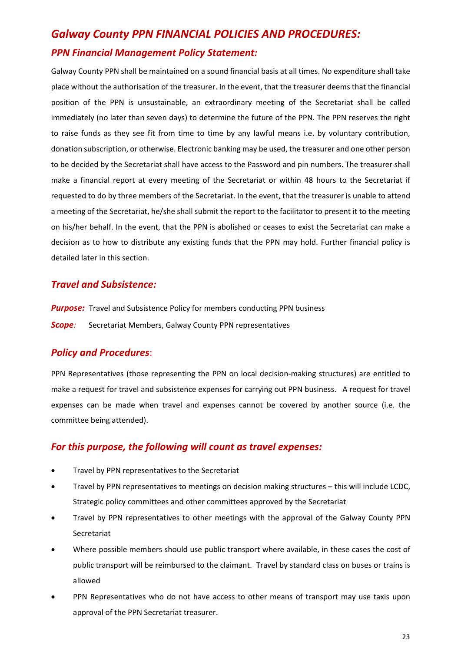## *Galway County PPN FINANCIAL POLICIES AND PROCEDURES:*

#### *PPN Financial Management Policy Statement:*

Galway County PPN shall be maintained on a sound financial basis at all times. No expenditure shall take place without the authorisation of the treasurer. In the event, that the treasurer deems that the financial position of the PPN is unsustainable, an extraordinary meeting of the Secretariat shall be called immediately (no later than seven days) to determine the future of the PPN. The PPN reserves the right to raise funds as they see fit from time to time by any lawful means i.e. by voluntary contribution, donation subscription, or otherwise. Electronic banking may be used, the treasurer and one other person to be decided by the Secretariat shall have access to the Password and pin numbers. The treasurer shall make a financial report at every meeting of the Secretariat or within 48 hours to the Secretariat if requested to do by three members of the Secretariat. In the event, that the treasurer is unable to attend a meeting of the Secretariat, he/she shall submit the report to the facilitator to present it to the meeting on his/her behalf. In the event, that the PPN is abolished or ceases to exist the Secretariat can make a decision as to how to distribute any existing funds that the PPN may hold. Further financial policy is detailed later in this section.

#### *Travel and Subsistence:*

**Purpose:** Travel and Subsistence Policy for members conducting PPN business **Scope**: Secretariat Members, Galway County PPN representatives

#### *Policy and Procedures*:

PPN Representatives (those representing the PPN on local decision-making structures) are entitled to make a request for travel and subsistence expenses for carrying out PPN business. A request for travel expenses can be made when travel and expenses cannot be covered by another source (i.e. the committee being attended).

#### *For this purpose, the following will count as travel expenses:*

- Travel by PPN representatives to the Secretariat
- Travel by PPN representatives to meetings on decision making structures this will include LCDC, Strategic policy committees and other committees approved by the Secretariat
- Travel by PPN representatives to other meetings with the approval of the Galway County PPN Secretariat
- Where possible members should use public transport where available, in these cases the cost of public transport will be reimbursed to the claimant. Travel by standard class on buses or trains is allowed
- PPN Representatives who do not have access to other means of transport may use taxis upon approval of the PPN Secretariat treasurer.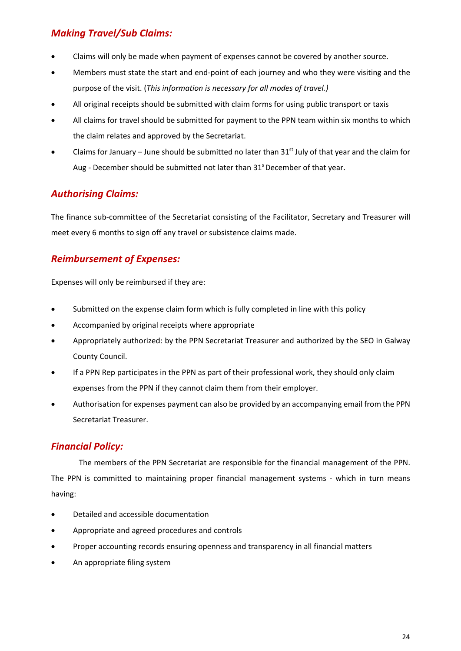## *Making Travel/Sub Claims:*

- Claims will only be made when payment of expenses cannot be covered by another source.
- Members must state the start and end-point of each journey and who they were visiting and the purpose of the visit. (*This information is necessary for all modes of travel.)*
- All original receipts should be submitted with claim forms for using public transport or taxis
- All claims for travel should be submitted for payment to the PPN team within six months to which the claim relates and approved by the Secretariat.
- Claims for January June should be submitted no later than 31<sup>st</sup> July of that year and the claim for Aug - December should be submitted not later than 31<sup>s</sup> December of that year.

## *Authorising Claims:*

The finance sub-committee of the Secretariat consisting of the Facilitator, Secretary and Treasurer will meet every 6 months to sign off any travel or subsistence claims made.

## *Reimbursement of Expenses:*

Expenses will only be reimbursed if they are:

- Submitted on the expense claim form which is fully completed in line with this policy
- Accompanied by original receipts where appropriate
- Appropriately authorized: by the PPN Secretariat Treasurer and authorized by the SEO in Galway County Council.
- If a PPN Rep participates in the PPN as part of their professional work, they should only claim expenses from the PPN if they cannot claim them from their employer.
- Authorisation for expenses payment can also be provided by an accompanying email from the PPN Secretariat Treasurer.

## *Financial Policy:*

The members of the PPN Secretariat are responsible for the financial management of the PPN. The PPN is committed to maintaining proper financial management systems - which in turn means having:

- Detailed and accessible documentation
- Appropriate and agreed procedures and controls
- Proper accounting records ensuring openness and transparency in all financial matters
- An appropriate filing system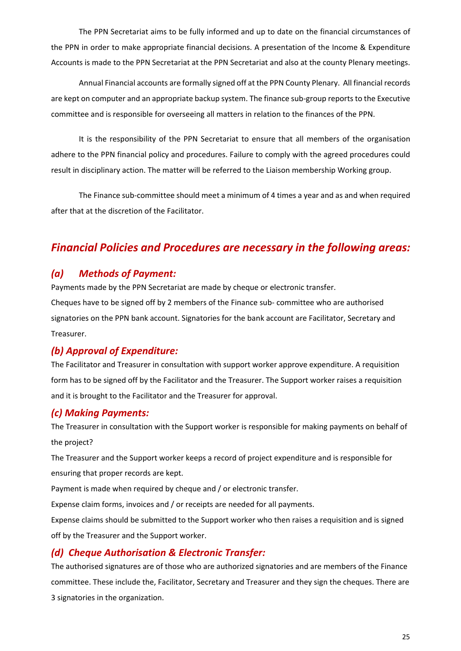The PPN Secretariat aims to be fully informed and up to date on the financial circumstances of the PPN in order to make appropriate financial decisions. A presentation of the Income & Expenditure Accounts is made to the PPN Secretariat at the PPN Secretariat and also at the county Plenary meetings.

Annual Financial accounts are formally signed off at the PPN County Plenary. All financial records are kept on computer and an appropriate backup system. The finance sub-group reports to the Executive committee and is responsible for overseeing all matters in relation to the finances of the PPN.

It is the responsibility of the PPN Secretariat to ensure that all members of the organisation adhere to the PPN financial policy and procedures. Failure to comply with the agreed procedures could result in disciplinary action. The matter will be referred to the Liaison membership Working group.

The Finance sub-committee should meet a minimum of 4 times a year and as and when required after that at the discretion of the Facilitator.

## *Financial Policies and Procedures are necessary in the following areas:*

## *(a) Methods of Payment:*

Payments made by the PPN Secretariat are made by cheque or electronic transfer.

Cheques have to be signed off by 2 members of the Finance sub- committee who are authorised signatories on the PPN bank account. Signatories for the bank account are Facilitator, Secretary and Treasurer.

## *(b) Approval of Expenditure:*

The Facilitator and Treasurer in consultation with support worker approve expenditure. A requisition form has to be signed off by the Facilitator and the Treasurer. The Support worker raises a requisition and it is brought to the Facilitator and the Treasurer for approval.

## *(c) Making Payments:*

The Treasurer in consultation with the Support worker is responsible for making payments on behalf of the project?

The Treasurer and the Support worker keeps a record of project expenditure and is responsible for ensuring that proper records are kept.

Payment is made when required by cheque and / or electronic transfer.

Expense claim forms, invoices and / or receipts are needed for all payments.

Expense claims should be submitted to the Support worker who then raises a requisition and is signed off by the Treasurer and the Support worker.

## *(d) Cheque Authorisation & Electronic Transfer:*

The authorised signatures are of those who are authorized signatories and are members of the Finance committee. These include the, Facilitator, Secretary and Treasurer and they sign the cheques. There are 3 signatories in the organization.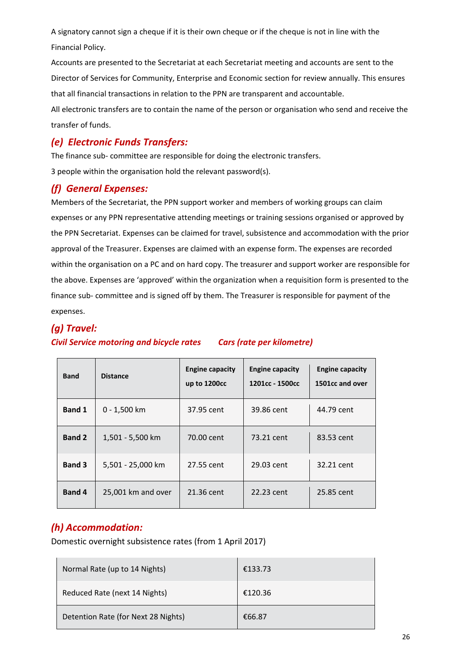A signatory cannot sign a cheque if it is their own cheque or if the cheque is not in line with the Financial Policy.

Accounts are presented to the Secretariat at each Secretariat meeting and accounts are sent to the Director of Services for Community, Enterprise and Economic section for review annually. This ensures that all financial transactions in relation to the PPN are transparent and accountable.

All electronic transfers are to contain the name of the person or organisation who send and receive the transfer of funds.

## *(e) Electronic Funds Transfers:*

The finance sub- committee are responsible for doing the electronic transfers.

3 people within the organisation hold the relevant password(s).

## *(f) General Expenses:*

Members of the Secretariat, the PPN support worker and members of working groups can claim expenses or any PPN representative attending meetings or training sessions organised or approved by the PPN Secretariat. Expenses can be claimed for travel, subsistence and accommodation with the prior approval of the Treasurer. Expenses are claimed with an expense form. The expenses are recorded within the organisation on a PC and on hard copy. The treasurer and support worker are responsible for the above. Expenses are 'approved' within the organization when a requisition form is presented to the finance sub- committee and is signed off by them. The Treasurer is responsible for payment of the expenses.

## *(g) Travel:*

## *Civil Service motoring and bicycle rates Cars (rate per kilometre)*

| <b>Band</b>   | <b>Distance</b>    | <b>Engine capacity</b><br>up to 1200cc | <b>Engine capacity</b><br>1201cc - 1500cc | <b>Engine capacity</b><br>1501cc and over |
|---------------|--------------------|----------------------------------------|-------------------------------------------|-------------------------------------------|
| <b>Band 1</b> | 0 - 1,500 km       | 37.95 cent                             | 39.86 cent                                | 44.79 cent                                |
| <b>Band 2</b> | 1,501 - 5,500 km   | 70.00 cent                             | 73.21 cent                                | 83.53 cent                                |
| <b>Band 3</b> | 5,501 - 25,000 km  | 27.55 cent                             | 29.03 cent                                | 32.21 cent                                |
| <b>Band 4</b> | 25,001 km and over | 21.36 cent                             | 22.23 cent                                | 25.85 cent                                |

## *(h) Accommodation:*

Domestic overnight subsistence rates (from 1 April 2017)

| Normal Rate (up to 14 Nights)       | €133.73 |
|-------------------------------------|---------|
| Reduced Rate (next 14 Nights)       | €120.36 |
| Detention Rate (for Next 28 Nights) | €66.87  |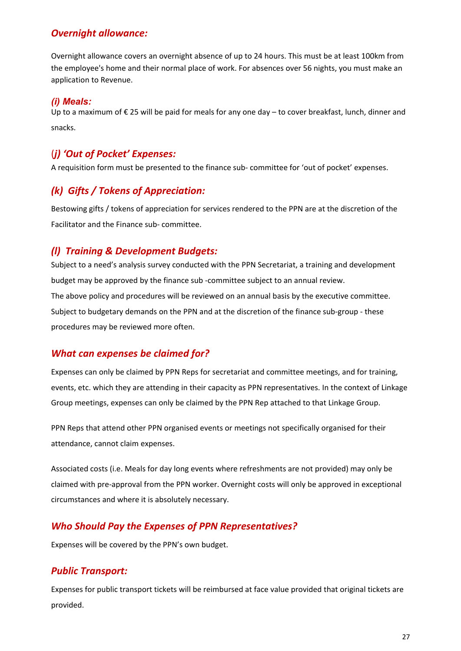## *Overnight allowance:*

Overnight allowance covers an overnight absence of up to 24 hours. This must be at least 100km from the employee's home and their normal place of work. For absences over 56 nights, you must make an application to Revenue.

#### *(i) Meals:*

Up to a maximum of  $€$  25 will be paid for meals for any one day – to cover breakfast, lunch, dinner and snacks.

## (*j) 'Out of Pocket' Expenses:*

A requisition form must be presented to the finance sub- committee for 'out of pocket' expenses.

## *(k) Gifts / Tokens of Appreciation:*

Bestowing gifts / tokens of appreciation for services rendered to the PPN are at the discretion of the Facilitator and the Finance sub- committee.

## *(l) Training & Development Budgets:*

Subject to a need's analysis survey conducted with the PPN Secretariat, a training and development budget may be approved by the finance sub -committee subject to an annual review. The above policy and procedures will be reviewed on an annual basis by the executive committee. Subject to budgetary demands on the PPN and at the discretion of the finance sub-group - these procedures may be reviewed more often.

## *What can expenses be claimed for?*

Expenses can only be claimed by PPN Reps for secretariat and committee meetings, and for training, events, etc. which they are attending in their capacity as PPN representatives. In the context of Linkage Group meetings, expenses can only be claimed by the PPN Rep attached to that Linkage Group.

PPN Reps that attend other PPN organised events or meetings not specifically organised for their attendance, cannot claim expenses.

Associated costs (i.e. Meals for day long events where refreshments are not provided) may only be claimed with pre-approval from the PPN worker. Overnight costs will only be approved in exceptional circumstances and where it is absolutely necessary.

## *Who Should Pay the Expenses of PPN Representatives?*

Expenses will be covered by the PPN's own budget.

## *Public Transport:*

Expenses for public transport tickets will be reimbursed at face value provided that original tickets are provided.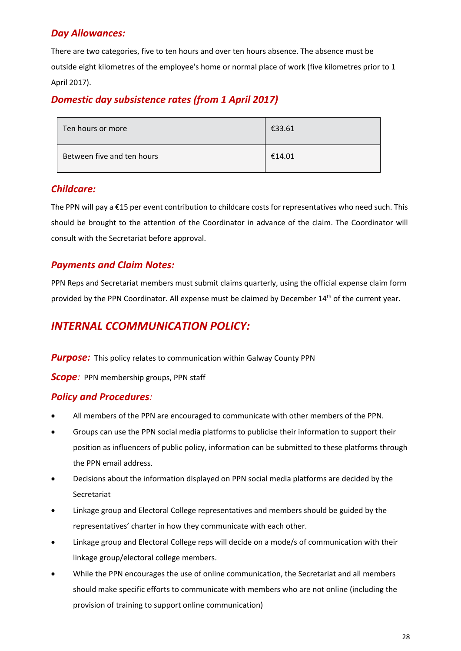## *Day Allowances:*

There are two categories, five to ten hours and over ten hours absence. The absence must be outside eight kilometres of the employee's home or normal place of work (five kilometres prior to 1 April 2017).

## *Domestic day subsistence rates (from 1 April 2017)*

| Ten hours or more          | €33.61 |
|----------------------------|--------|
| Between five and ten hours | €14.01 |

## *Childcare:*

The PPN will pay a €15 per event contribution to childcare costs for representatives who need such. This should be brought to the attention of the Coordinator in advance of the claim. The Coordinator will consult with the Secretariat before approval.

## *Payments and Claim Notes:*

PPN Reps and Secretariat members must submit claims quarterly, using the official expense claim form provided by the PPN Coordinator. All expense must be claimed by December 14<sup>th</sup> of the current year.

## *INTERNAL CCOMMUNICATION POLICY:*

**Purpose:** This policy relates to communication within Galway County PPN

**Scope**: PPN membership groups, PPN staff

## *Policy and Procedures:*

- All members of the PPN are encouraged to communicate with other members of the PPN.
- Groups can use the PPN social media platforms to publicise their information to support their position as influencers of public policy, information can be submitted to these platforms through the PPN email address.
- Decisions about the information displayed on PPN social media platforms are decided by the Secretariat
- Linkage group and Electoral College representatives and members should be guided by the representatives' charter in how they communicate with each other.
- Linkage group and Electoral College reps will decide on a mode/s of communication with their linkage group/electoral college members.
- While the PPN encourages the use of online communication, the Secretariat and all members should make specific efforts to communicate with members who are not online (including the provision of training to support online communication)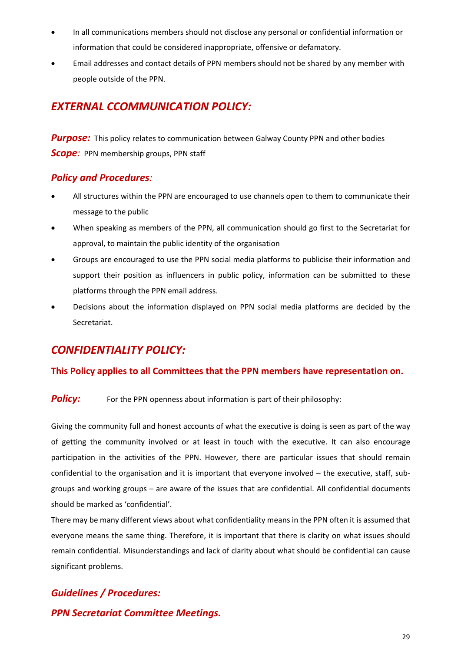- In all communications members should not disclose any personal or confidential information or information that could be considered inappropriate, offensive or defamatory.
- Email addresses and contact details of PPN members should not be shared by any member with people outside of the PPN.

## *EXTERNAL CCOMMUNICATION POLICY:*

**Purpose:** This policy relates to communication between Galway County PPN and other bodies *Scope:* PPN membership groups, PPN staff

## *Policy and Procedures:*

- All structures within the PPN are encouraged to use channels open to them to communicate their message to the public
- When speaking as members of the PPN, all communication should go first to the Secretariat for approval, to maintain the public identity of the organisation
- Groups are encouraged to use the PPN social media platforms to publicise their information and support their position as influencers in public policy, information can be submitted to these platforms through the PPN email address.
- Decisions about the information displayed on PPN social media platforms are decided by the Secretariat.

## *CONFIDENTIALITY POLICY:*

## **This Policy applies to all Committees that the PPN members have representation on.**

## **Policy:** For the PPN openness about information is part of their philosophy:

Giving the community full and honest accounts of what the executive is doing is seen as part of the way of getting the community involved or at least in touch with the executive. It can also encourage participation in the activities of the PPN. However, there are particular issues that should remain confidential to the organisation and it is important that everyone involved – the executive, staff, subgroups and working groups – are aware of the issues that are confidential. All confidential documents should be marked as 'confidential'.

There may be many different views about what confidentiality means in the PPN often it is assumed that everyone means the same thing. Therefore, it is important that there is clarity on what issues should remain confidential. Misunderstandings and lack of clarity about what should be confidential can cause significant problems.

## *Guidelines / Procedures: PPN Secretariat Committee Meetings.*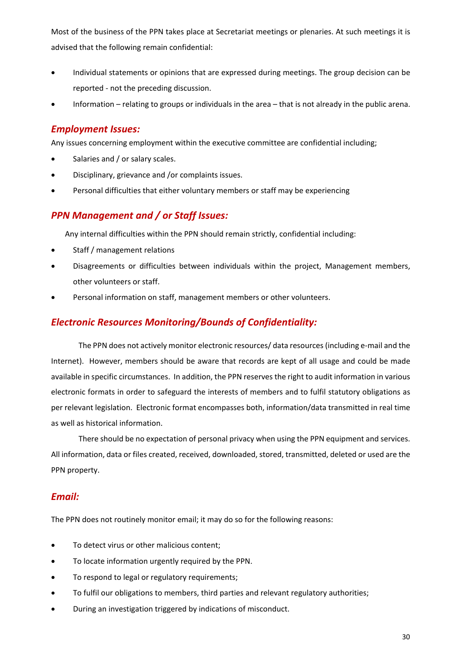Most of the business of the PPN takes place at Secretariat meetings or plenaries. At such meetings it is advised that the following remain confidential:

- Individual statements or opinions that are expressed during meetings. The group decision can be reported - not the preceding discussion.
- Information relating to groups or individuals in the area that is not already in the public arena.

#### *Employment Issues:*

Any issues concerning employment within the executive committee are confidential including;

- Salaries and / or salary scales.
- Disciplinary, grievance and /or complaints issues.
- Personal difficulties that either voluntary members or staff may be experiencing

#### *PPN Management and / or Staff Issues:*

Any internal difficulties within the PPN should remain strictly, confidential including:

- Staff / management relations
- Disagreements or difficulties between individuals within the project, Management members, other volunteers or staff.
- Personal information on staff, management members or other volunteers.

#### *Electronic Resources Monitoring/Bounds of Confidentiality:*

The PPN does not actively monitor electronic resources/ data resources (including e-mail and the Internet). However, members should be aware that records are kept of all usage and could be made available in specific circumstances. In addition, the PPN reserves the right to audit information in various electronic formats in order to safeguard the interests of members and to fulfil statutory obligations as per relevant legislation. Electronic format encompasses both, information/data transmitted in real time as well as historical information.

There should be no expectation of personal privacy when using the PPN equipment and services. All information, data or files created, received, downloaded, stored, transmitted, deleted or used are the PPN property.

#### *Email:*

The PPN does not routinely monitor email; it may do so for the following reasons:

- To detect virus or other malicious content;
- To locate information urgently required by the PPN.
- To respond to legal or regulatory requirements;
- To fulfil our obligations to members, third parties and relevant regulatory authorities;
- During an investigation triggered by indications of misconduct.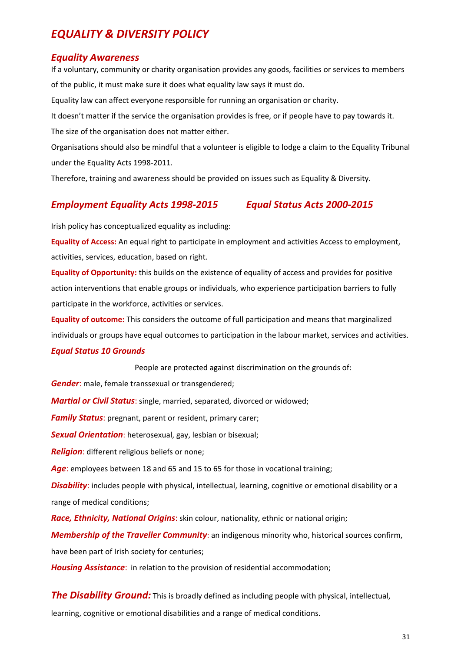## *EQUALITY & DIVERSITY POLICY*

#### *Equality Awareness*

If a voluntary, community or charity organisation provides any goods, facilities or services to members of the public, it must make sure it does what equality law says it must do.

Equality law can affect everyone responsible for running an organisation or charity.

It doesn't matter if the service the organisation provides is free, or if people have to pay towards it.

The size of the organisation does not matter either.

Organisations should also be mindful that a volunteer is eligible to lodge a claim to the Equality Tribunal under the Equality Acts 1998-2011.

Therefore, training and awareness should be provided on issues such as Equality & Diversity.

#### *Employment Equality Acts 1998-2015 Equal Status Acts 2000-2015*

Irish policy has conceptualized equality as including:

**Equality of Access:** An equal right to participate in employment and activities Access to employment, activities, services, education, based on right.

**Equality of Opportunity:** this builds on the existence of equality of access and provides for positive action interventions that enable groups or individuals, who experience participation barriers to fully participate in the workforce, activities or services.

**Equality of outcome:** This considers the outcome of full participation and means that marginalized individuals or groups have equal outcomes to participation in the labour market, services and activities.

#### *Equal Status 10 Grounds*

People are protected against discrimination on the grounds of:

*Gender*: male, female transsexual or transgendered;

*Martial or Civil Status*: single, married, separated, divorced or widowed;

*Family Status: pregnant, parent or resident, primary carer;* 

*Sexual Orientation*: heterosexual, gay, lesbian or bisexual;

*Religion*: different religious beliefs or none;

Age: employees between 18 and 65 and 15 to 65 for those in vocational training;

**Disability:** includes people with physical, intellectual, learning, cognitive or emotional disability or a range of medical conditions;

*Race, Ethnicity, National Origins*: skin colour, nationality, ethnic or national origin;

*Membership of the Traveller Community*: an indigenous minority who, historical sources confirm, have been part of Irish society for centuries;

*Housing Assistance*: in relation to the provision of residential accommodation;

**The Disability Ground:** This is broadly defined as including people with physical, intellectual,

learning, cognitive or emotional disabilities and a range of medical conditions.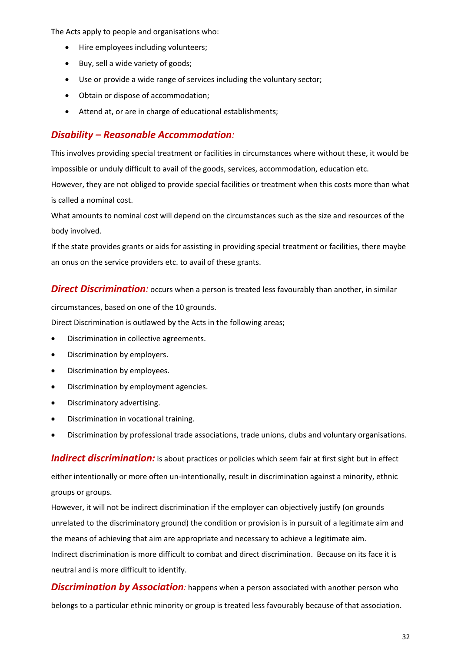The Acts apply to people and organisations who:

- Hire employees including volunteers;
- Buy, sell a wide variety of goods;
- Use or provide a wide range of services including the voluntary sector;
- Obtain or dispose of accommodation;
- Attend at, or are in charge of educational establishments;

## *Disability – Reasonable Accommodation:*

This involves providing special treatment or facilities in circumstances where without these, it would be impossible or unduly difficult to avail of the goods, services, accommodation, education etc. However, they are not obliged to provide special facilities or treatment when this costs more than what is called a nominal cost.

What amounts to nominal cost will depend on the circumstances such as the size and resources of the body involved.

If the state provides grants or aids for assisting in providing special treatment or facilities, there maybe an onus on the service providers etc. to avail of these grants.

**Direct Discrimination**: occurs when a person is treated less favourably than another, in similar

circumstances, based on one of the 10 grounds.

Direct Discrimination is outlawed by the Acts in the following areas;

- Discrimination in collective agreements.
- Discrimination by employers.
- Discrimination by employees.
- Discrimination by employment agencies.
- Discriminatory advertising.
- Discrimination in vocational training.
- Discrimination by professional trade associations, trade unions, clubs and voluntary organisations.

*Indirect discrimination:* is about practices or policies which seem fair at first sight but in effect either intentionally or more often un-intentionally, result in discrimination against a minority, ethnic groups or groups.

However, it will not be indirect discrimination if the employer can objectively justify (on grounds unrelated to the discriminatory ground) the condition or provision is in pursuit of a legitimate aim and the means of achieving that aim are appropriate and necessary to achieve a legitimate aim. Indirect discrimination is more difficult to combat and direct discrimination. Because on its face it is neutral and is more difficult to identify.

**Discrimination by Association**: happens when a person associated with another person who belongs to a particular ethnic minority or group is treated less favourably because of that association.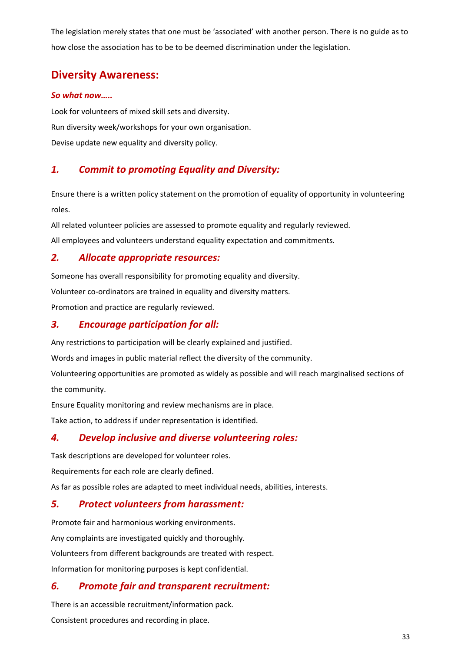The legislation merely states that one must be 'associated' with another person. There is no guide as to how close the association has to be to be deemed discrimination under the legislation.

## **Diversity Awareness:**

#### *So what now…..*

Look for volunteers of mixed skill sets and diversity. Run diversity week/workshops for your own organisation. Devise update new equality and diversity policy.

## *1. Commit to promoting Equality and Diversity:*

Ensure there is a written policy statement on the promotion of equality of opportunity in volunteering roles.

All related volunteer policies are assessed to promote equality and regularly reviewed.

All employees and volunteers understand equality expectation and commitments.

#### *2. Allocate appropriate resources:*

Someone has overall responsibility for promoting equality and diversity.

Volunteer co-ordinators are trained in equality and diversity matters.

Promotion and practice are regularly reviewed.

## *3. Encourage participation for all:*

Any restrictions to participation will be clearly explained and justified.

Words and images in public material reflect the diversity of the community.

Volunteering opportunities are promoted as widely as possible and will reach marginalised sections of the community.

Ensure Equality monitoring and review mechanisms are in place.

Take action, to address if under representation is identified.

## *4. Develop inclusive and diverse volunteering roles:*

Task descriptions are developed for volunteer roles.

Requirements for each role are clearly defined.

As far as possible roles are adapted to meet individual needs, abilities, interests.

## *5. Protect volunteers from harassment:*

Promote fair and harmonious working environments.

Any complaints are investigated quickly and thoroughly.

Volunteers from different backgrounds are treated with respect.

Information for monitoring purposes is kept confidential.

## *6. Promote fair and transparent recruitment:*

There is an accessible recruitment/information pack.

Consistent procedures and recording in place.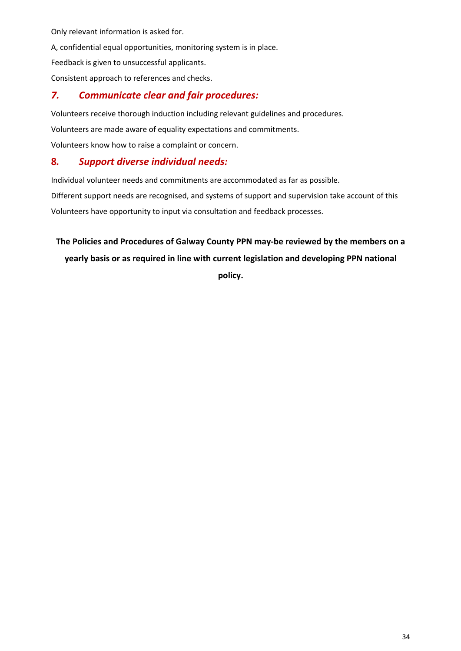Only relevant information is asked for.

A, confidential equal opportunities, monitoring system is in place.

Feedback is given to unsuccessful applicants.

Consistent approach to references and checks.

#### *7. Communicate clear and fair procedures:*

Volunteers receive thorough induction including relevant guidelines and procedures.

Volunteers are made aware of equality expectations and commitments.

Volunteers know how to raise a complaint or concern.

#### **8***. Support diverse individual needs:*

Individual volunteer needs and commitments are accommodated as far as possible.

Different support needs are recognised, and systems of support and supervision take account of this Volunteers have opportunity to input via consultation and feedback processes.

#### **The Policies and Procedures of Galway County PPN may-be reviewed by the members on a**

#### **yearly basis or as required in line with current legislation and developing PPN national**

**policy.**